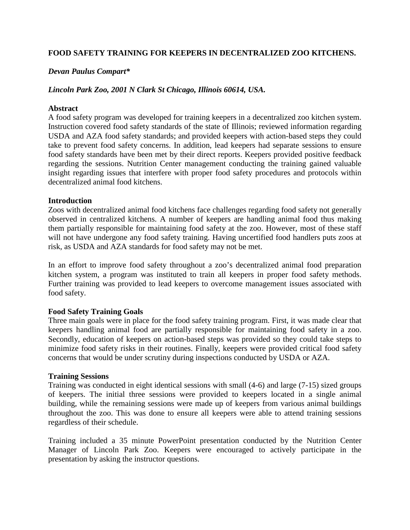# **FOOD SAFETY TRAINING FOR KEEPERS IN DECENTRALIZED ZOO KITCHENS.**

### *Devan Paulus Compart\**

### *Lincoln Park Zoo, 2001 N Clark St Chicago, Illinois 60614, USA.*

### **Abstract**

A food safety program was developed for training keepers in a decentralized zoo kitchen system. Instruction covered food safety standards of the state of Illinois; reviewed information regarding USDA and AZA food safety standards; and provided keepers with action-based steps they could take to prevent food safety concerns. In addition, lead keepers had separate sessions to ensure food safety standards have been met by their direct reports. Keepers provided positive feedback regarding the sessions. Nutrition Center management conducting the training gained valuable insight regarding issues that interfere with proper food safety procedures and protocols within decentralized animal food kitchens.

#### **Introduction**

Zoos with decentralized animal food kitchens face challenges regarding food safety not generally observed in centralized kitchens. A number of keepers are handling animal food thus making them partially responsible for maintaining food safety at the zoo. However, most of these staff will not have undergone any food safety training. Having uncertified food handlers puts zoos at risk, as USDA and AZA standards for food safety may not be met.

In an effort to improve food safety throughout a zoo's decentralized animal food preparation kitchen system, a program was instituted to train all keepers in proper food safety methods. Further training was provided to lead keepers to overcome management issues associated with food safety.

#### **Food Safety Training Goals**

Three main goals were in place for the food safety training program. First, it was made clear that keepers handling animal food are partially responsible for maintaining food safety in a zoo. Secondly, education of keepers on action-based steps was provided so they could take steps to minimize food safety risks in their routines. Finally, keepers were provided critical food safety concerns that would be under scrutiny during inspections conducted by USDA or AZA.

#### **Training Sessions**

Training was conducted in eight identical sessions with small (4-6) and large (7-15) sized groups of keepers. The initial three sessions were provided to keepers located in a single animal building, while the remaining sessions were made up of keepers from various animal buildings throughout the zoo. This was done to ensure all keepers were able to attend training sessions regardless of their schedule.

Training included a 35 minute PowerPoint presentation conducted by the Nutrition Center Manager of Lincoln Park Zoo. Keepers were encouraged to actively participate in the presentation by asking the instructor questions.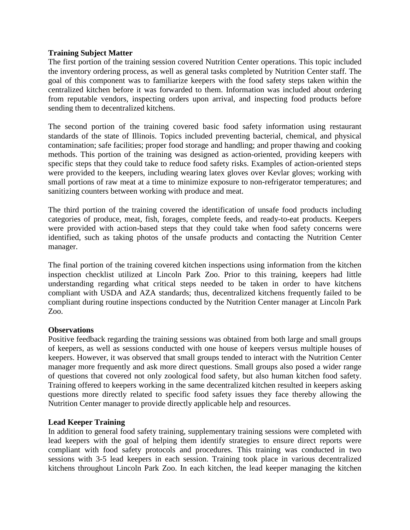## **Training Subject Matter**

The first portion of the training session covered Nutrition Center operations. This topic included the inventory ordering process, as well as general tasks completed by Nutrition Center staff. The goal of this component was to familiarize keepers with the food safety steps taken within the centralized kitchen before it was forwarded to them. Information was included about ordering from reputable vendors, inspecting orders upon arrival, and inspecting food products before sending them to decentralized kitchens.

The second portion of the training covered basic food safety information using restaurant standards of the state of Illinois. Topics included preventing bacterial, chemical, and physical contamination; safe facilities; proper food storage and handling; and proper thawing and cooking methods. This portion of the training was designed as action-oriented, providing keepers with specific steps that they could take to reduce food safety risks. Examples of action-oriented steps were provided to the keepers, including wearing latex gloves over Kevlar gloves; working with small portions of raw meat at a time to minimize exposure to non-refrigerator temperatures; and sanitizing counters between working with produce and meat.

The third portion of the training covered the identification of unsafe food products including categories of produce, meat, fish, forages, complete feeds, and ready-to-eat products. Keepers were provided with action-based steps that they could take when food safety concerns were identified, such as taking photos of the unsafe products and contacting the Nutrition Center manager.

The final portion of the training covered kitchen inspections using information from the kitchen inspection checklist utilized at Lincoln Park Zoo. Prior to this training, keepers had little understanding regarding what critical steps needed to be taken in order to have kitchens compliant with USDA and AZA standards; thus, decentralized kitchens frequently failed to be compliant during routine inspections conducted by the Nutrition Center manager at Lincoln Park Zoo.

## **Observations**

Positive feedback regarding the training sessions was obtained from both large and small groups of keepers, as well as sessions conducted with one house of keepers versus multiple houses of keepers. However, it was observed that small groups tended to interact with the Nutrition Center manager more frequently and ask more direct questions. Small groups also posed a wider range of questions that covered not only zoological food safety, but also human kitchen food safety. Training offered to keepers working in the same decentralized kitchen resulted in keepers asking questions more directly related to specific food safety issues they face thereby allowing the Nutrition Center manager to provide directly applicable help and resources.

#### **Lead Keeper Training**

In addition to general food safety training, supplementary training sessions were completed with lead keepers with the goal of helping them identify strategies to ensure direct reports were compliant with food safety protocols and procedures. This training was conducted in two sessions with 3-5 lead keepers in each session. Training took place in various decentralized kitchens throughout Lincoln Park Zoo. In each kitchen, the lead keeper managing the kitchen